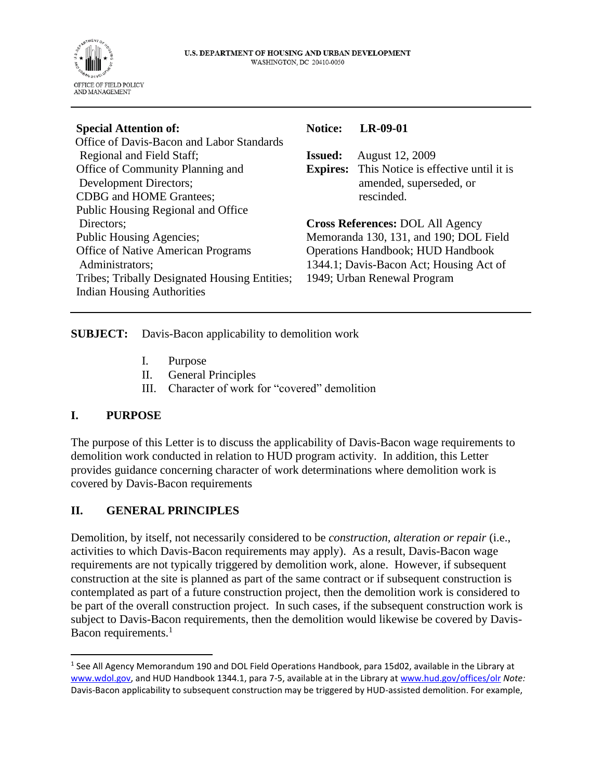

| <b>Notice:</b>                           | $LR-09-01$                                           |
|------------------------------------------|------------------------------------------------------|
|                                          |                                                      |
| <b>Issued:</b>                           | August 12, 2009                                      |
|                                          | <b>Expires:</b> This Notice is effective until it is |
|                                          | amended, superseded, or                              |
|                                          | rescinded.                                           |
|                                          |                                                      |
|                                          | <b>Cross References: DOL All Agency</b>              |
|                                          | Memoranda 130, 131, and 190; DOL Field               |
| <b>Operations Handbook; HUD Handbook</b> |                                                      |
|                                          | 1344.1; Davis-Bacon Act; Housing Act of              |
|                                          | 1949; Urban Renewal Program                          |
|                                          |                                                      |
|                                          |                                                      |

**SUBJECT:** Davis-Bacon applicability to demolition work

- I. Purpose
- II. General Principles
- III. Character of work for "covered" demolition

## **I. PURPOSE**

The purpose of this Letter is to discuss the applicability of Davis-Bacon wage requirements to demolition work conducted in relation to HUD program activity. In addition, this Letter provides guidance concerning character of work determinations where demolition work is covered by Davis-Bacon requirements

## **II. GENERAL PRINCIPLES**

Demolition, by itself, not necessarily considered to be *construction, alteration or repair* (i.e., activities to which Davis-Bacon requirements may apply). As a result, Davis-Bacon wage requirements are not typically triggered by demolition work, alone. However, if subsequent construction at the site is planned as part of the same contract or if subsequent construction is contemplated as part of a future construction project, then the demolition work is considered to be part of the overall construction project. In such cases, if the subsequent construction work is subject to Davis-Bacon requirements, then the demolition would likewise be covered by Davis-Bacon requirements.<sup>1</sup>

<sup>&</sup>lt;sup>1</sup> See All Agency Memorandum 190 and DOL Field Operations Handbook, para 15d02, available in the Library at [www.wdol.gov,](http://www.wdol.gov/) and HUD Handbook 1344.1, para 7-5, available at in the Library a[t www.hud.gov/offices/olr](http://www.hud.gov/offices/olr) *Note:* Davis-Bacon applicability to subsequent construction may be triggered by HUD-assisted demolition. For example,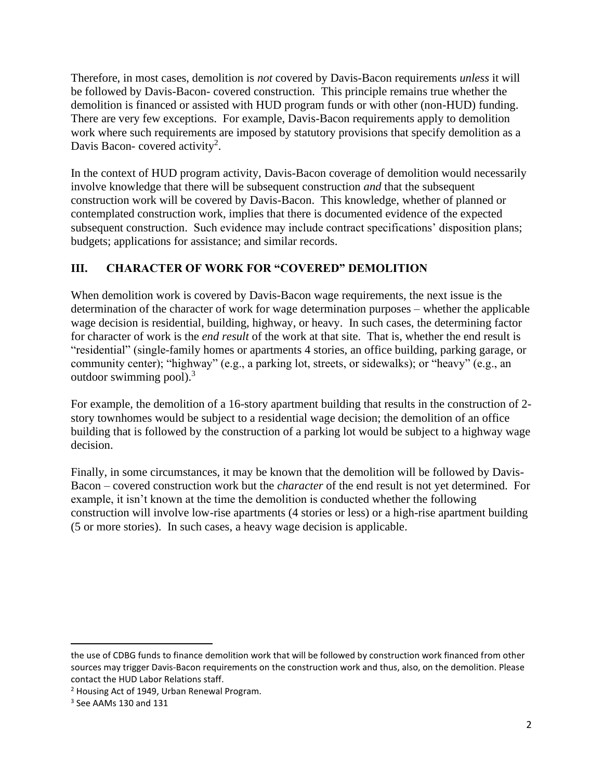Therefore, in most cases, demolition is *not* covered by Davis-Bacon requirements *unless* it will be followed by Davis-Bacon- covered construction. This principle remains true whether the demolition is financed or assisted with HUD program funds or with other (non-HUD) funding. There are very few exceptions. For example, Davis-Bacon requirements apply to demolition work where such requirements are imposed by statutory provisions that specify demolition as a Davis Bacon- covered activity<sup>2</sup>.

In the context of HUD program activity, Davis-Bacon coverage of demolition would necessarily involve knowledge that there will be subsequent construction *and* that the subsequent construction work will be covered by Davis-Bacon. This knowledge, whether of planned or contemplated construction work, implies that there is documented evidence of the expected subsequent construction. Such evidence may include contract specifications' disposition plans; budgets; applications for assistance; and similar records.

## **III. CHARACTER OF WORK FOR "COVERED" DEMOLITION**

When demolition work is covered by Davis-Bacon wage requirements, the next issue is the determination of the character of work for wage determination purposes – whether the applicable wage decision is residential, building, highway, or heavy. In such cases, the determining factor for character of work is the *end result* of the work at that site. That is, whether the end result is "residential" (single-family homes or apartments 4 stories, an office building, parking garage, or community center); "highway" (e.g., a parking lot, streets, or sidewalks); or "heavy" (e.g., an outdoor swimming pool).<sup>3</sup>

For example, the demolition of a 16-story apartment building that results in the construction of 2 story townhomes would be subject to a residential wage decision; the demolition of an office building that is followed by the construction of a parking lot would be subject to a highway wage decision.

Finally, in some circumstances, it may be known that the demolition will be followed by Davis-Bacon – covered construction work but the *character* of the end result is not yet determined. For example, it isn't known at the time the demolition is conducted whether the following construction will involve low-rise apartments (4 stories or less) or a high-rise apartment building (5 or more stories). In such cases, a heavy wage decision is applicable.

the use of CDBG funds to finance demolition work that will be followed by construction work financed from other sources may trigger Davis-Bacon requirements on the construction work and thus, also, on the demolition. Please contact the HUD Labor Relations staff.

<sup>2</sup> Housing Act of 1949, Urban Renewal Program.

<sup>&</sup>lt;sup>3</sup> See AAMs 130 and 131